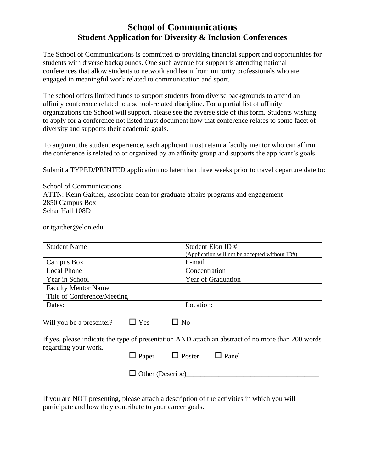## **School of Communications Student Application for Diversity & Inclusion Conferences**

The School of Communications is committed to providing financial support and opportunities for students with diverse backgrounds. One such avenue for support is attending national conferences that allow students to network and learn from minority professionals who are engaged in meaningful work related to communication and sport.

The school offers limited funds to support students from diverse backgrounds to attend an affinity conference related to a school-related discipline. For a partial list of affinity organizations the School will support, please see the reverse side of this form. Students wishing to apply for a conference not listed must document how that conference relates to some facet of diversity and supports their academic goals.

To augment the student experience, each applicant must retain a faculty mentor who can affirm the conference is related to or organized by an affinity group and supports the applicant's goals.

Submit a TYPED/PRINTED application no later than three weeks prior to travel departure date to:

School of Communications ATTN: Kenn Gaither, associate dean for graduate affairs programs and engagement 2850 Campus Box Schar Hall 108D

or tgaither@elon.edu

| <b>Student Name</b>                                                                                                                                                                                                               | Student Elon ID#<br>(Application will not be accepted without ID#) |
|-----------------------------------------------------------------------------------------------------------------------------------------------------------------------------------------------------------------------------------|--------------------------------------------------------------------|
| Campus Box                                                                                                                                                                                                                        | E-mail                                                             |
| <b>Local Phone</b>                                                                                                                                                                                                                | Concentration                                                      |
| Year in School                                                                                                                                                                                                                    | Year of Graduation                                                 |
| <b>Faculty Mentor Name</b>                                                                                                                                                                                                        |                                                                    |
| Title of Conference/Meeting                                                                                                                                                                                                       |                                                                    |
| Dates:                                                                                                                                                                                                                            | Location:                                                          |
| $\Box$ Yes<br>$\Box$ No<br>Will you be a presenter?<br>If yes, please indicate the type of presentation AND attach an abstract of no more than 200 words<br>regarding your work.<br>$\Box$ Panel<br>$\Box$ Poster<br>$\Box$ Paper |                                                                    |

 $\Box$  Other (Describe)

If you are NOT presenting, please attach a description of the activities in which you will participate and how they contribute to your career goals.